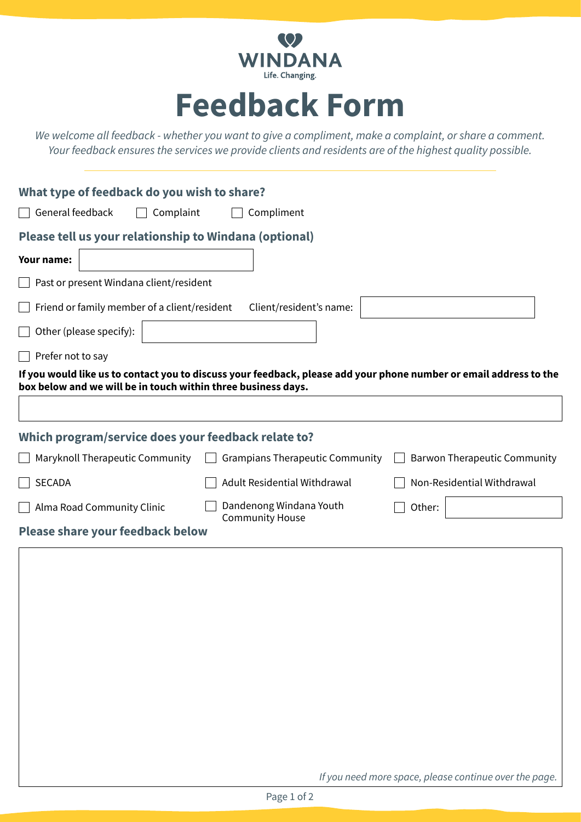

## **Feedback Form**

*We welcome all feedback - whether you want to give a compliment, make a complaint, or share a comment. Your feedback ensures the services we provide clients and residents are of the highest quality possible.*

| What type of feedback do you wish to share?                                                                                                                                         |
|-------------------------------------------------------------------------------------------------------------------------------------------------------------------------------------|
| General feedback<br>Complaint<br>Compliment                                                                                                                                         |
| Please tell us your relationship to Windana (optional)                                                                                                                              |
| Your name:                                                                                                                                                                          |
| Past or present Windana client/resident                                                                                                                                             |
| Friend or family member of a client/resident<br>Client/resident's name:                                                                                                             |
| Other (please specify):                                                                                                                                                             |
| Prefer not to say                                                                                                                                                                   |
| If you would like us to contact you to discuss your feedback, please add your phone number or email address to the<br>box below and we will be in touch within three business days. |
|                                                                                                                                                                                     |
|                                                                                                                                                                                     |
| Which program/service does your feedback relate to?                                                                                                                                 |
| Maryknoll Therapeutic Community<br><b>Grampians Therapeutic Community</b><br><b>Barwon Therapeutic Community</b>                                                                    |
| Adult Residential Withdrawal<br>Non-Residential Withdrawal<br><b>SECADA</b>                                                                                                         |
| Dandenong Windana Youth<br>Alma Road Community Clinic<br>Other:<br><b>Community House</b>                                                                                           |
| <b>Please share your feedback below</b>                                                                                                                                             |
|                                                                                                                                                                                     |
|                                                                                                                                                                                     |
|                                                                                                                                                                                     |
|                                                                                                                                                                                     |
|                                                                                                                                                                                     |
|                                                                                                                                                                                     |
|                                                                                                                                                                                     |
|                                                                                                                                                                                     |
|                                                                                                                                                                                     |
|                                                                                                                                                                                     |

*If you need more space, please continue over the page.*